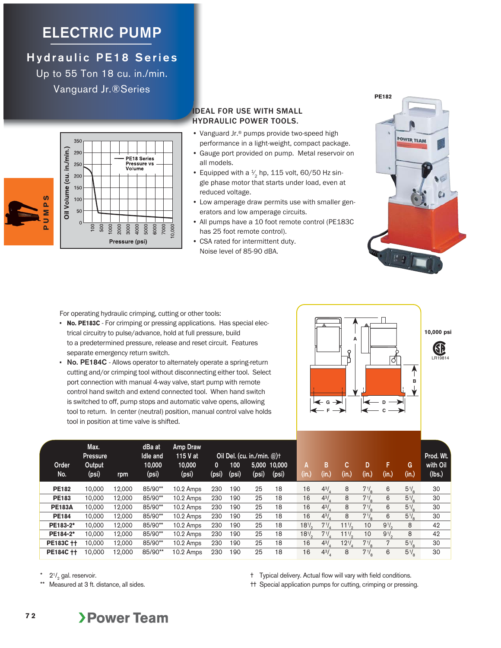## **ELECTRIC PUMP**

**Hydraulic PE18 Series** Up to 55 Ton 18 cu. in./min.

Vanguard Jr.®Series



|                           | 350            |                       |
|---------------------------|----------------|-----------------------|
|                           | 290            | PE18 Series           |
| Oil Volume (cu. in./min.) | 250            | Pressure vs<br>Volume |
|                           | 200            |                       |
|                           | 150            |                       |
|                           | 100            |                       |
|                           | 50             |                       |
|                           | $\overline{0}$ |                       |
|                           |                | $\overline{100}$      |
|                           |                | Pressure (psi)        |

## IDEAL FOR USE WITH SMALL HYDRAULIC POWER TOOLS.

- Vanguard Jr.® pumps provide two-speed high performance in a light-weight, compact package.
- Gauge port provided on pump. Metal reservoir on all models.
- Equipped with a  $\frac{1}{2}$  hp, 115 volt, 60/50 Hz single phase motor that starts under load, even at reduced voltage.
- Low amperage draw permits use with smaller generators and low amperage circuits.
- All pumps have a 10 foot remote control (PE183C has 25 foot remote control).
- CSA rated for intermittent duty. Noise level of 85-90 dBA.



For operating hydraulic crimping, cutting or other tools:

- **No. PE183C** For crimping or pressing applications. Has special electrical circuitry to pulse/advance, hold at full pressure, build to a predetermined pressure, release and reset circuit. Features separate emergency return switch.
- **• No. PE184C**  Allows operator to alternately operate a spring-return cutting and/or crimping tool without disconnecting either tool. Select port connection with manual 4-way valve, start pump with remote control hand switch and extend connected tool. When hand switch is switched to off, pump stops and automatic valve opens, allowing tool to return. In center (neutral) position, manual control valve holds tool in position at time valve is shifted.



| Order<br>No.  | Max.<br><b>Pressure</b><br>Output<br>(psi) | rpm    | dBa at<br>Idle and<br>10,000<br>(psi) | Amp Draw<br>115 V at<br>10,000<br>(psi) | 0<br>(psi) | 100<br>(psi) | Oil Del. (cu. in./min. $@$ )+<br>(psi) | 5,000 10,000<br>(psi) | А<br>$\overline{\textsf{(in.)}}$ | в<br>(in.)       | C.<br>(in.) | D<br>(in.)     | F<br>(in.) | G<br>(in.)     | Prod. Wt.<br>with Oil<br>(lbs.) |
|---------------|--------------------------------------------|--------|---------------------------------------|-----------------------------------------|------------|--------------|----------------------------------------|-----------------------|----------------------------------|------------------|-------------|----------------|------------|----------------|---------------------------------|
| <b>PE182</b>  | 10.000                                     | 12.000 | 85/90**                               | 10.2 Amps                               | 230        | 190          | 25                                     | 18                    | 16                               | $4^{3}$ .        | 8           | $7\frac{1}{6}$ | 6          | $5\frac{1}{6}$ | 30                              |
| <b>PE183</b>  | 10.000                                     | 12.000 | 85/90**                               | 10.2 Amps                               | 230        | 190          | 25                                     | 18                    | 16                               | 4 <sup>3</sup> / | 8           | $7\frac{1}{6}$ | 6          | $5\frac{1}{6}$ | 30                              |
| <b>PE183A</b> | 10.000                                     | 12.000 | 85/90**                               | 10.2 Amps                               | 230        | 190          | 25                                     | 18                    | 16                               | $4^{3}/_{4}$     | 8           | $7\frac{1}{8}$ | 6          | $5\frac{1}{8}$ | 30                              |
| <b>PE184</b>  | 10,000                                     | 12.000 | 85/90**                               | 10.2 Amps                               | 230        | 190          | 25                                     | 18                    | 16                               | $4^{3}$ .        | 8           | $7\frac{1}{8}$ | 6          | $5\frac{1}{8}$ | 30                              |
| PE183-2*      | 10.000                                     | 12,000 | 85/90**                               | 10.2 Amps                               | 230        | 190          | 25                                     | 18                    | $18\%$                           | $7^{1/2}$        | $11^{1/2}$  | 10             | $9^{1/2}$  | 8              | 42                              |
| PE184-2*      | 10.000                                     | 12,000 | 85/90**                               | 10.2 Amps                               | 230        | 190          | 25                                     | 18                    | $18^{1/2}$                       | $7^{1/2}$        | $11^{1/2}$  | 10             | $9^{1/2}$  | 8              | 42                              |
| PE183C ++     | 10.000                                     | 12,000 | 85/90**                               | 10.2 Amps                               | 230        | 190          | 25                                     | 18                    | 16                               | $4^{3}$ .        | $12^{1/2}$  | $7\frac{1}{6}$ | 7          | $5\frac{1}{6}$ | 30                              |
| PE184C ++     | 10.000                                     | 12.000 | 85/90**                               | $10.2$ Amps                             | 230        | 190          | 25                                     | 18                    | 16                               | $4^{3}/$         | 8           | $7\frac{1}{8}$ | 6          | $5\frac{1}{6}$ | 30                              |

 $2^{1}/_{2}$  gal. reservoir.

**7 2**

Measured at 3 ft. distance, all sides.

† Typical delivery. Actual flow will vary with field conditions.

†† Special application pumps for cutting, crimping or pressing.